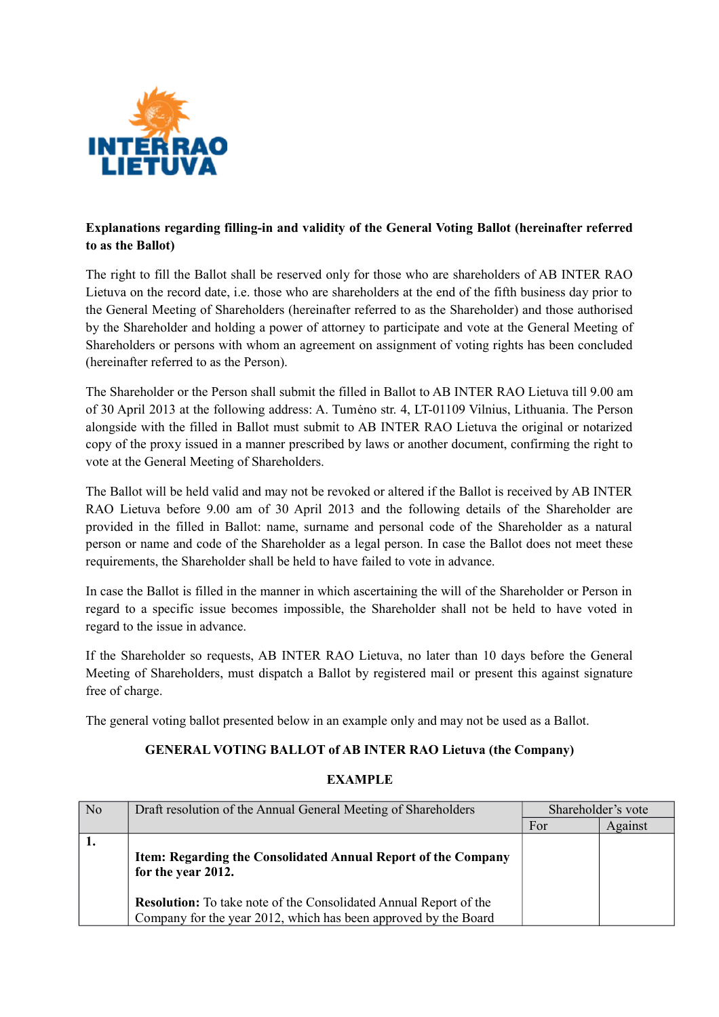

## **Explanations regarding filling-in and validity of the General Voting Ballot (hereinafter referred to as the Ballot)**

The right to fill the Ballot shall be reserved only for those who are shareholders of AB INTER RAO Lietuva on the record date, i.e. those who are shareholders at the end of the fifth business day prior to the General Meeting of Shareholders (hereinafter referred to as the Shareholder) and those authorised by the Shareholder and holding a power of attorney to participate and vote at the General Meeting of Shareholders or persons with whom an agreement on assignment of voting rights has been concluded (hereinafter referred to as the Person).

The Shareholder or the Person shall submit the filled in Ballot to AB INTER RAO Lietuva till 9.00 am of 30 April 2013 at the following address: A. Tumėno str. 4, LT-01109 Vilnius, Lithuania. The Person alongside with the filled in Ballot must submit to AB INTER RAO Lietuva the original or notarized copy of the proxy issued in a manner prescribed by laws or another document, confirming the right to vote at the General Meeting of Shareholders.

The Ballot will be held valid and may not be revoked or altered if the Ballot is received by AB INTER RAO Lietuva before 9.00 am of 30 April 2013 and the following details of the Shareholder are provided in the filled in Ballot: name, surname and personal code of the Shareholder as a natural person or name and code of the Shareholder as a legal person. In case the Ballot does not meet these requirements, the Shareholder shall be held to have failed to vote in advance.

In case the Ballot is filled in the manner in which ascertaining the will of the Shareholder or Person in regard to a specific issue becomes impossible, the Shareholder shall not be held to have voted in regard to the issue in advance.

If the Shareholder so requests, AB INTER RAO Lietuva, no later than 10 days before the General Meeting of Shareholders, must dispatch a Ballot by registered mail or present this against signature free of charge.

The general voting ballot presented below in an example only and may not be used as a Ballot.

### **GENERAL VOTING BALLOT of AB INTER RAO Lietuva (the Company)**

#### **EXAMPLE**

| N <sub>0</sub> | Draft resolution of the Annual General Meeting of Shareholders                                                                              | Shareholder's vote |         |
|----------------|---------------------------------------------------------------------------------------------------------------------------------------------|--------------------|---------|
|                |                                                                                                                                             | For                | Against |
|                | Item: Regarding the Consolidated Annual Report of the Company<br>for the year 2012.                                                         |                    |         |
|                | <b>Resolution:</b> To take note of the Consolidated Annual Report of the<br>Company for the year 2012, which has been approved by the Board |                    |         |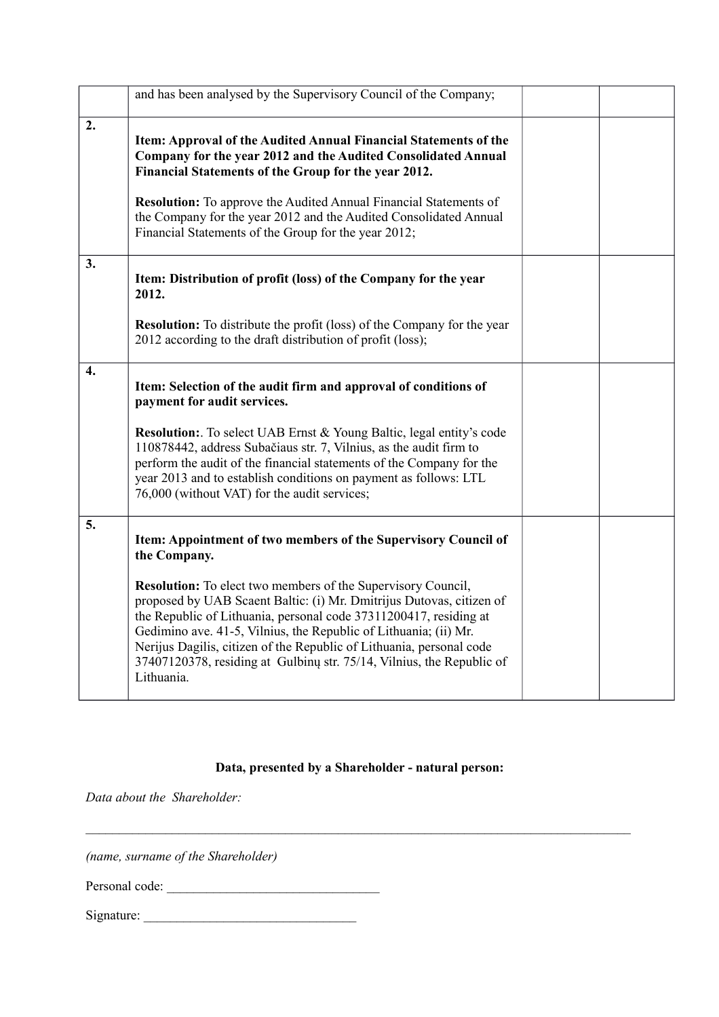|    | and has been analysed by the Supervisory Council of the Company;                                                                                                                                                                                                                                                                                                                                                                                    |  |
|----|-----------------------------------------------------------------------------------------------------------------------------------------------------------------------------------------------------------------------------------------------------------------------------------------------------------------------------------------------------------------------------------------------------------------------------------------------------|--|
| 2. | Item: Approval of the Audited Annual Financial Statements of the<br>Company for the year 2012 and the Audited Consolidated Annual<br>Financial Statements of the Group for the year 2012.<br><b>Resolution:</b> To approve the Audited Annual Financial Statements of<br>the Company for the year 2012 and the Audited Consolidated Annual<br>Financial Statements of the Group for the year 2012;                                                  |  |
| 3. | Item: Distribution of profit (loss) of the Company for the year<br>2012.<br><b>Resolution:</b> To distribute the profit (loss) of the Company for the year<br>2012 according to the draft distribution of profit (loss);                                                                                                                                                                                                                            |  |
| 4. | Item: Selection of the audit firm and approval of conditions of                                                                                                                                                                                                                                                                                                                                                                                     |  |
|    | payment for audit services.                                                                                                                                                                                                                                                                                                                                                                                                                         |  |
|    | <b>Resolution:</b> To select UAB Ernst & Young Baltic, legal entity's code<br>110878442, address Subačiaus str. 7, Vilnius, as the audit firm to<br>perform the audit of the financial statements of the Company for the<br>year 2013 and to establish conditions on payment as follows: LTL<br>76,000 (without VAT) for the audit services;                                                                                                        |  |
| 5. | Item: Appointment of two members of the Supervisory Council of<br>the Company.                                                                                                                                                                                                                                                                                                                                                                      |  |
|    | <b>Resolution:</b> To elect two members of the Supervisory Council,<br>proposed by UAB Scaent Baltic: (i) Mr. Dmitrijus Dutovas, citizen of<br>the Republic of Lithuania, personal code 37311200417, residing at<br>Gedimino ave. 41-5, Vilnius, the Republic of Lithuania; (ii) Mr.<br>Nerijus Dagilis, citizen of the Republic of Lithuania, personal code<br>37407120378, residing at Gulbinu str. 75/14, Vilnius, the Republic of<br>Lithuania. |  |

# **Data, presented by a Shareholder - natural person:**

 $\mathcal{L}_\mathcal{L} = \{ \mathcal{L}_\mathcal{L} = \{ \mathcal{L}_\mathcal{L} = \{ \mathcal{L}_\mathcal{L} = \{ \mathcal{L}_\mathcal{L} = \{ \mathcal{L}_\mathcal{L} = \{ \mathcal{L}_\mathcal{L} = \{ \mathcal{L}_\mathcal{L} = \{ \mathcal{L}_\mathcal{L} = \{ \mathcal{L}_\mathcal{L} = \{ \mathcal{L}_\mathcal{L} = \{ \mathcal{L}_\mathcal{L} = \{ \mathcal{L}_\mathcal{L} = \{ \mathcal{L}_\mathcal{L} = \{ \mathcal{L}_\mathcal{$ 

*Data about the Shareholder:*

*(name, surname of the Shareholder)*

Personal code: \_\_\_\_\_\_\_\_\_\_\_\_\_\_\_\_\_\_\_\_\_\_\_\_\_\_\_\_\_\_\_\_

Signature: \_\_\_\_\_\_\_\_\_\_\_\_\_\_\_\_\_\_\_\_\_\_\_\_\_\_\_\_\_\_\_\_